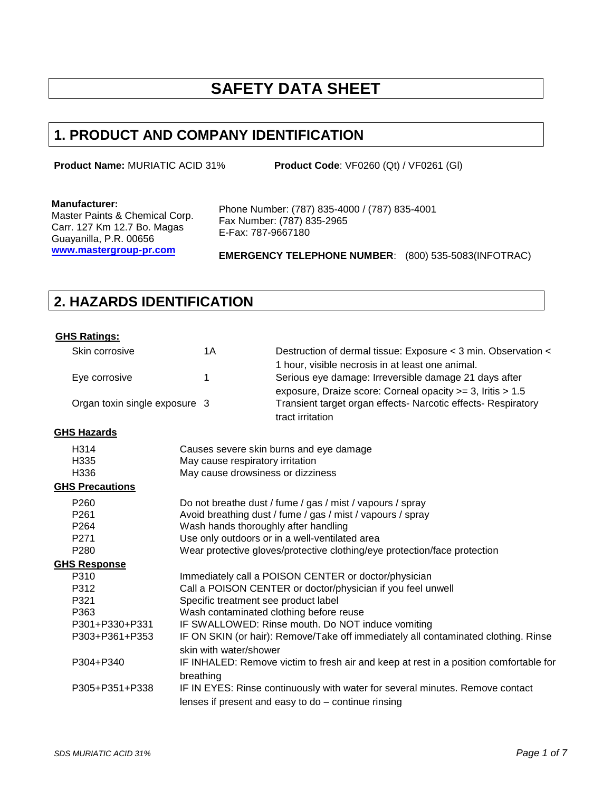# **SAFETY DATA SHEET**

## **1. PRODUCT AND COMPANY IDENTIFICATION**

**Product Name:** MURIATIC ACID 31% **Product Code**: VF0260 (Qt) / VF0261 (Gl)

#### **Manufacturer:**

Master Paints & Chemical Corp. Carr. 127 Km 12.7 Bo. Magas Guayanilla, P.R. 00656 **www.mastergroup-pr.com**

Phone Number: (787) 835-4000 / (787) 835-4001 Fax Number: (787) 835-2965 E-Fax: 787-9667180

**EMERGENCY TELEPHONE NUMBER**: (800) 535-5083(INFOTRAC)

### **2. HAZARDS IDENTIFICATION**

### **GHS Ratings:**

| Skin corrosive                | 1A                                      | Destruction of dermal tissue: Exposure < 3 min. Observation <                                             |
|-------------------------------|-----------------------------------------|-----------------------------------------------------------------------------------------------------------|
| Eye corrosive                 | 1                                       | 1 hour, visible necrosis in at least one animal.<br>Serious eye damage: Irreversible damage 21 days after |
|                               |                                         | exposure, Draize score: Corneal opacity >= 3, Iritis > 1.5                                                |
| Organ toxin single exposure 3 |                                         | Transient target organ effects- Narcotic effects- Respiratory                                             |
|                               |                                         | tract irritation                                                                                          |
| <b>GHS Hazards</b>            |                                         |                                                                                                           |
| H314                          |                                         | Causes severe skin burns and eye damage                                                                   |
| H335                          | May cause respiratory irritation        |                                                                                                           |
| H336                          | May cause drowsiness or dizziness       |                                                                                                           |
| <b>GHS Precautions</b>        |                                         |                                                                                                           |
| P <sub>260</sub>              |                                         | Do not breathe dust / fume / gas / mist / vapours / spray                                                 |
| P <sub>261</sub>              |                                         | Avoid breathing dust / fume / gas / mist / vapours / spray                                                |
| P <sub>264</sub>              | Wash hands thoroughly after handling    |                                                                                                           |
| P <sub>271</sub>              |                                         | Use only outdoors or in a well-ventilated area                                                            |
| P280                          |                                         | Wear protective gloves/protective clothing/eye protection/face protection                                 |
| <b>GHS Response</b>           |                                         |                                                                                                           |
| P310                          |                                         | Immediately call a POISON CENTER or doctor/physician                                                      |
| P312                          |                                         | Call a POISON CENTER or doctor/physician if you feel unwell                                               |
| P321                          | Specific treatment see product label    |                                                                                                           |
| P363                          | Wash contaminated clothing before reuse |                                                                                                           |
| P301+P330+P331                |                                         | IF SWALLOWED: Rinse mouth. Do NOT induce vomiting                                                         |
| P303+P361+P353                |                                         | IF ON SKIN (or hair): Remove/Take off immediately all contaminated clothing. Rinse                        |
|                               | skin with water/shower                  |                                                                                                           |
| P304+P340                     |                                         | IF INHALED: Remove victim to fresh air and keep at rest in a position comfortable for                     |
|                               | breathing                               |                                                                                                           |
| P305+P351+P338                |                                         | IF IN EYES: Rinse continuously with water for several minutes. Remove contact                             |
|                               |                                         | lenses if present and easy to $do$ – continue rinsing                                                     |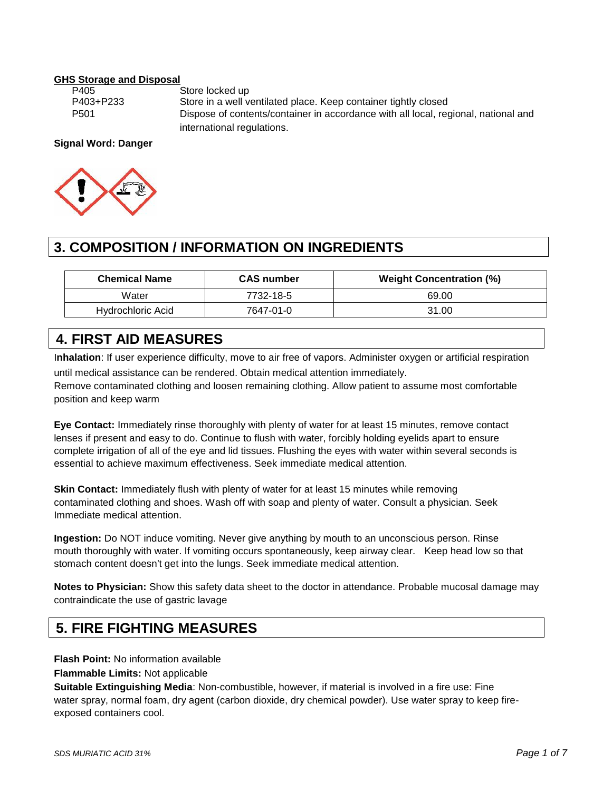# **GHS Storage and Disposal**

Store locked up P403+P233 Store in a well ventilated place. Keep container tightly closed P501 Dispose of contents/container in accordance with all local, regional, national and international regulations.

### **Signal Word: Danger**



# **3. COMPOSITION / INFORMATION ON INGREDIENTS**

| <b>Chemical Name</b> | <b>CAS number</b> | <b>Weight Concentration (%)</b> |
|----------------------|-------------------|---------------------------------|
| Water                | 7732-18-5         | 69.00                           |
| Hydrochloric Acid    | 7647-01-0         | 31.00                           |

### **4. FIRST AID MEASURES**

I**nhalation**: If user experience difficulty, move to air free of vapors. Administer oxygen or artificial respiration

until medical assistance can be rendered. Obtain medical attention immediately.

Remove contaminated clothing and loosen remaining clothing. Allow patient to assume most comfortable position and keep warm

**Eye Contact:** Immediately rinse thoroughly with plenty of water for at least 15 minutes, remove contact lenses if present and easy to do. Continue to flush with water, forcibly holding eyelids apart to ensure complete irrigation of all of the eye and lid tissues. Flushing the eyes with water within several seconds is essential to achieve maximum effectiveness. Seek immediate medical attention.

**Skin Contact:** Immediately flush with plenty of water for at least 15 minutes while removing contaminated clothing and shoes. Wash off with soap and plenty of water. Consult a physician. Seek Immediate medical attention.

**Ingestion:** Do NOT induce vomiting. Never give anything by mouth to an unconscious person. Rinse mouth thoroughly with water. If vomiting occurs spontaneously, keep airway clear. Keep head low so that stomach content doesn't get into the lungs. Seek immediate medical attention.

**Notes to Physician:** Show this safety data sheet to the doctor in attendance. Probable mucosal damage may contraindicate the use of gastric lavage

### **5. FIRE FIGHTING MEASURES**

**Flash Point:** No information available

**Flammable Limits:** Not applicable

**Suitable Extinguishing Media**: Non-combustible, however, if material is involved in a fire use: Fine water spray, normal foam, dry agent (carbon dioxide, dry chemical powder). Use water spray to keep fire exposed containers cool.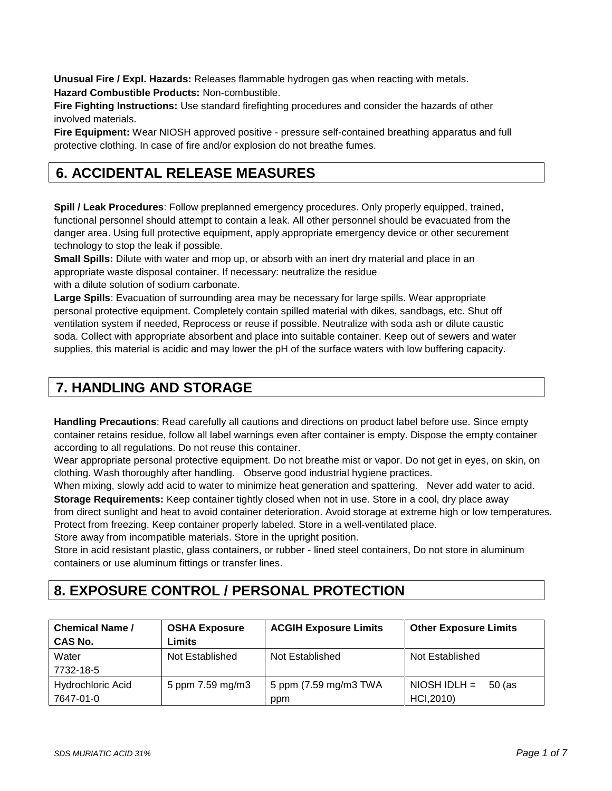**Unusual Fire / Expl. Hazards:** Releases flammable hydrogen gas when reacting with metals. **Hazard Combustible Products:** Non-combustible.

**Fire Fighting Instructions:** Use standard firefighting procedures and consider the hazards of other involved materials.

**Fire Equipment:** Wear NIOSH approved positive - pressure self-contained breathing apparatus and full protective clothing. In case of fire and/or explosion do not breathe fumes.

### **6. ACCIDENTAL RELEASE MEASURES**

**Spill / Leak Procedures**: Follow preplanned emergency procedures. Only properly equipped, trained, functional personnel should attempt to contain a leak. All other personnel should be evacuated from the danger area. Using full protective equipment, apply appropriate emergency device or other securement technology to stop the leak if possible.

**Small Spills:** Dilute with water and mop up, or absorb with an inert dry material and place in an appropriate waste disposal container. If necessary: neutralize the residue

with a dilute solution of sodium carbonate.

**Large Spills**: Evacuation of surrounding area may be necessary for large spills. Wear appropriate personal protective equipment. Completely contain spilled material with dikes, sandbags, etc. Shut off ventilation system if needed, Reprocess or reuse if possible. Neutralize with soda ash or dilute caustic soda. Collect with appropriate absorbent and place into suitable container. Keep out of sewers and water supplies, this material is acidic and may lower the pH of the surface waters with low buffering capacity.

### **7. HANDLING AND STORAGE**

**Handling Precautions**: Read carefully all cautions and directions on product label before use. Since empty container retains residue, follow all label warnings even after container is empty. Dispose the empty container according to all regulations. Do not reuse this container.

Wear appropriate personal protective equipment. Do not breathe mist or vapor. Do not get in eyes, on skin, on clothing. Wash thoroughly after handling. Observe good industrial hygiene practices.

When mixing, slowly add acid to water to minimize heat generation and spattering. Never add water to acid. **Storage Requirements:** Keep container tightly closed when not in use. Store in a cool, dry place away from direct sunlight and heat to avoid container deterioration. Avoid storage at extreme high or low temperatures. Protect from freezing. Keep container properly labeled. Store in a well-ventilated place.

Store away from incompatible materials. Store in the upright position.

Store in acid resistant plastic, glass containers, or rubber - lined steel containers, Do not store in aluminum containers or use aluminum fittings or transfer lines.

# **8. EXPOSURE CONTROL / PERSONAL PROTECTION**

| <b>Chemical Name /</b> | <b>OSHA Exposure</b> | <b>ACGIH Exposure Limits</b> | <b>Other Exposure Limits</b> |
|------------------------|----------------------|------------------------------|------------------------------|
| <b>CAS No.</b>         | Limits               |                              |                              |
| Water                  | Not Established      | Not Established              | Not Established              |
| 7732-18-5              |                      |                              |                              |
| Hydrochloric Acid      | 5 ppm 7.59 mg/m3     | 5 ppm (7.59 mg/m3 TWA        | $NIOSH IDLH =$<br>50 (as     |
| 7647-01-0              |                      | ppm                          | HCI, 2010)                   |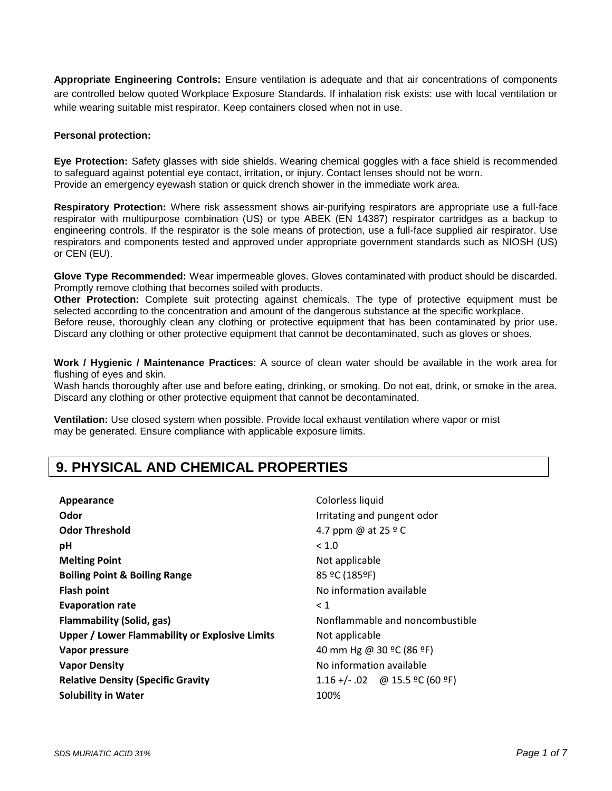**Appropriate Engineering Controls:** Ensure ventilation is adequate and that air concentrations of components are controlled below quoted Workplace Exposure Standards. If inhalation risk exists: use with local ventilation or while wearing suitable mist respirator. Keep containers closed when not in use.

#### **Personal protection:**

**Eye Protection:** Safety glasses with side shields. Wearing chemical goggles with a face shield is recommended to safeguard against potential eye contact, irritation, or injury. Contact lenses should not be worn. Provide an emergency eyewash station or quick drench shower in the immediate work area.

**Respiratory Protection:** Where risk assessment shows air-purifying respirators are appropriate use a full-face respirator with multipurpose combination (US) or type ABEK (EN 14387) respirator cartridges as a backup to engineering controls. If the respirator is the sole means of protection, use a full-face supplied air respirator. Use respirators and components tested and approved under appropriate government standards such as NIOSH (US) or CEN (EU).

**Glove Type Recommended:** Wear impermeable gloves. Gloves contaminated with product should be discarded. Promptly remove clothing that becomes soiled with products.

**Other Protection:** Complete suit protecting against chemicals. The type of protective equipment must be selected according to the concentration and amount of the dangerous substance at the specific workplace. Before reuse, thoroughly clean any clothing or protective equipment that has been contaminated by prior use. Discard any clothing or other protective equipment that cannot be decontaminated, such as gloves or shoes.

**Work / Hygienic / Maintenance Practices**: A source of clean water should be available in the work area for flushing of eyes and skin.

Wash hands thoroughly after use and before eating, drinking, or smoking. Do not eat, drink, or smoke in the area. Discard any clothing or other protective equipment that cannot be decontaminated.

**Ventilation:** Use closed system when possible. Provide local exhaust ventilation where vapor or mist may be generated. Ensure compliance with applicable exposure limits.

### **9. PHYSICAL AND CHEMICAL PROPERTIES**

| Appearance                                            | Colorless liquid                 |
|-------------------------------------------------------|----------------------------------|
| Odor                                                  | Irritating and pungent odor      |
| <b>Odor Threshold</b>                                 | 4.7 ppm @ at 25 º C              |
| рH                                                    | < 1.0                            |
| <b>Melting Point</b>                                  | Not applicable                   |
| <b>Boiling Point &amp; Boiling Range</b>              | 85 ºC (185ºF)                    |
| <b>Flash point</b>                                    | No information available         |
| <b>Evaporation rate</b>                               | < 1                              |
| <b>Flammability (Solid, gas)</b>                      | Nonflammable and noncombustible  |
| <b>Upper / Lower Flammability or Explosive Limits</b> | Not applicable                   |
| Vapor pressure                                        | 40 mm Hg @ 30 °C (86 °F)         |
| <b>Vapor Density</b>                                  | No information available         |
| <b>Relative Density (Specific Gravity</b>             | $1.16 +/- .02$ @ 15.5 °C (60 °F) |
| <b>Solubility in Water</b>                            | 100%                             |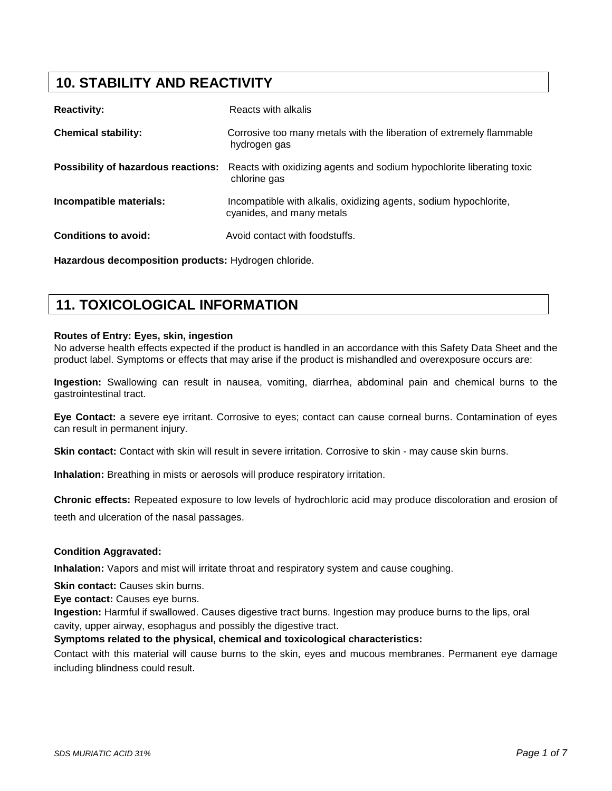## **10. STABILITY AND REACTIVITY**

| <b>Reactivity:</b>          | Reacts with alkalis                                                                                                              |
|-----------------------------|----------------------------------------------------------------------------------------------------------------------------------|
| <b>Chemical stability:</b>  | Corrosive too many metals with the liberation of extremely flammable<br>hydrogen gas                                             |
|                             | <b>Possibility of hazardous reactions:</b> Reacts with oxidizing agents and sodium hypochlorite liberating toxic<br>chlorine gas |
| Incompatible materials:     | Incompatible with alkalis, oxidizing agents, sodium hypochlorite,<br>cyanides, and many metals                                   |
| <b>Conditions to avoid:</b> | Avoid contact with foodstuffs.                                                                                                   |

**Hazardous decomposition products:** Hydrogen chloride.

### **11. TOXICOLOGICAL INFORMATION**

#### **Routes of Entry: Eyes, skin, ingestion**

No adverse health effects expected if the product is handled in an accordance with this Safety Data Sheet and the product label. Symptoms or effects that may arise if the product is mishandled and overexposure occurs are:

**Ingestion:** Swallowing can result in nausea, vomiting, diarrhea, abdominal pain and chemical burns to the gastrointestinal tract.

**Eye Contact:** a severe eye irritant. Corrosive to eyes; contact can cause corneal burns. Contamination of eyes can result in permanent injury.

**Skin contact:** Contact with skin will result in severe irritation. Corrosive to skin - may cause skin burns.

**Inhalation:** Breathing in mists or aerosols will produce respiratory irritation.

**Chronic effects:** Repeated exposure to low levels of hydrochloric acid may produce discoloration and erosion of teeth and ulceration of the nasal passages.

#### **Condition Aggravated:**

**Inhalation:** Vapors and mist will irritate throat and respiratory system and cause coughing.

**Skin contact:** Causes skin burns.

**Eye contact:** Causes eye burns.

**Ingestion:** Harmful if swallowed. Causes digestive tract burns. Ingestion may produce burns to the lips, oral cavity, upper airway, esophagus and possibly the digestive tract.

**Symptoms related to the physical, chemical and toxicological characteristics:**

Contact with this material will cause burns to the skin, eyes and mucous membranes. Permanent eye damage including blindness could result.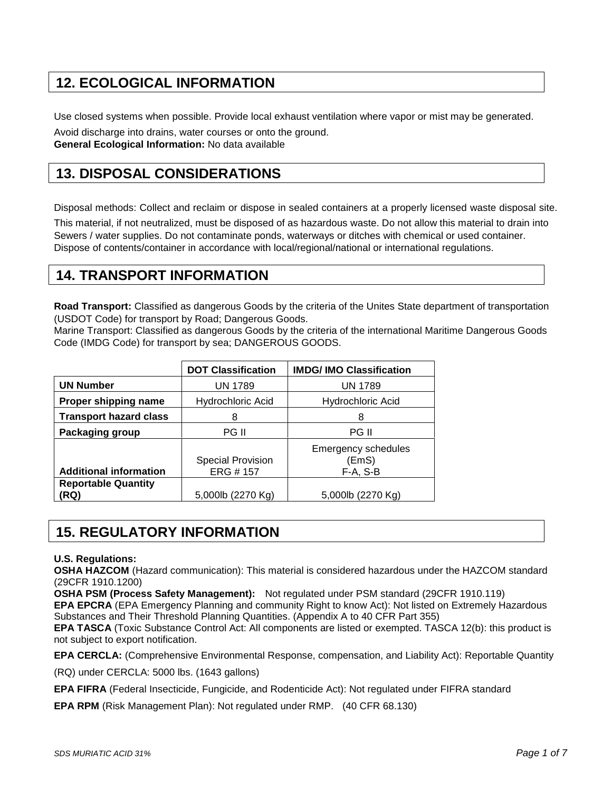## **12. ECOLOGICAL INFORMATION**

Use closed systems when possible. Provide local exhaust ventilation where vapor or mist may be generated.

Avoid discharge into drains, water courses or onto the ground.

**General Ecological Information:** No data available

## **13. DISPOSAL CONSIDERATIONS**

Disposal methods: Collect and reclaim or dispose in sealed containers at a properly licensed waste disposal site.

This material, if not neutralized, must be disposed of as hazardous waste. Do not allow this material to drain into Sewers / water supplies. Do not contaminate ponds, waterways or ditches with chemical or used container. Dispose of contents/container in accordance with local/regional/national or international regulations.

### **14. TRANSPORT INFORMATION**

**Road Transport:** Classified as dangerous Goods by the criteria of the Unites State department of transportation (USDOT Code) for transport by Road; Dangerous Goods.

Marine Transport: Classified as dangerous Goods by the criteria of the international Maritime Dangerous Goods Code (IMDG Code) for transport by sea; DANGEROUS GOODS.

|                                    | <b>DOT Classification</b>            | <b>IMDG/IMO Classification</b>                    |
|------------------------------------|--------------------------------------|---------------------------------------------------|
| <b>UN Number</b>                   | <b>UN 1789</b>                       | <b>UN 1789</b>                                    |
| Proper shipping name               | Hydrochloric Acid                    | Hydrochloric Acid                                 |
| <b>Transport hazard class</b>      | 8                                    | 8                                                 |
| Packaging group                    | PG II                                | PG II                                             |
| <b>Additional information</b>      | <b>Special Provision</b><br>ERG #157 | <b>Emergency schedules</b><br>(EmS)<br>$F-A, S-B$ |
| <b>Reportable Quantity</b><br>(RQ) | 5,000lb (2270 Kg)                    | 5,000lb (2270 Kg)                                 |

## **15. REGULATORY INFORMATION**

### **U.S. Regulations:**

**OSHA HAZCOM** (Hazard communication): This material is considered hazardous under the HAZCOM standard (29CFR 1910.1200)

**OSHA PSM (Process Safety Management):** Not regulated under PSM standard (29CFR 1910.119)

**EPA EPCRA** (EPA Emergency Planning and community Right to know Act): Not listed on Extremely Hazardous Substances and Their Threshold Planning Quantities. (Appendix A to 40 CFR Part 355)

**EPA TASCA** (Toxic Substance Control Act: All components are listed or exempted. TASCA 12(b): this product is not subject to export notification.

**EPA CERCLA:** (Comprehensive Environmental Response, compensation, and Liability Act): Reportable Quantity

(RQ) under CERCLA: 5000 lbs. (1643 gallons)

**EPA FIFRA** (Federal Insecticide, Fungicide, and Rodenticide Act): Not regulated under FIFRA standard

**EPA RPM** (Risk Management Plan): Not regulated under RMP. (40 CFR 68.130)